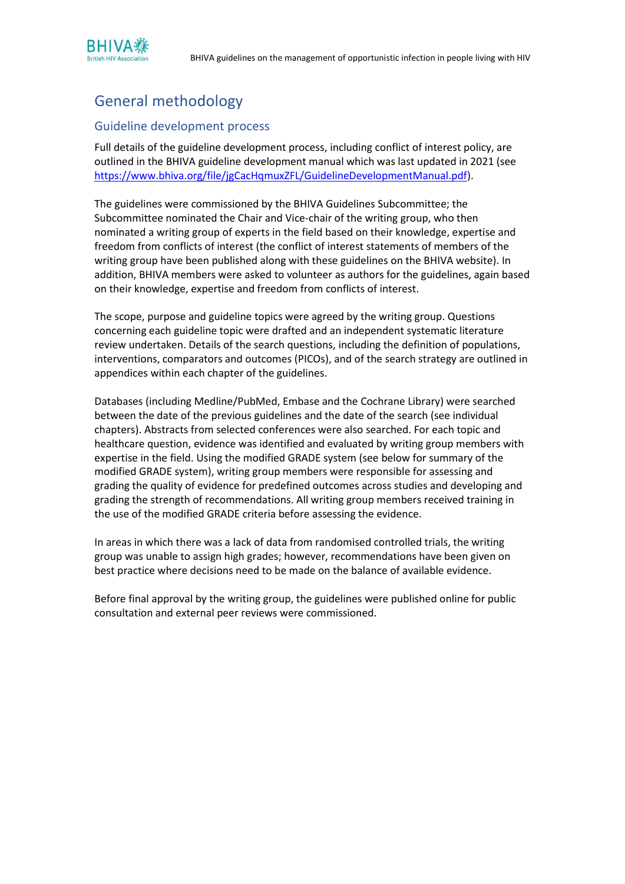

## General methodology

## Guideline development process

Full details of the guideline development process, including conflict of interest policy, are outlined in the BHIVA guideline development manual which was last updated in 2021 (see [https://www.bhiva.org/file/jgCacHqmuxZFL/GuidelineDevelopmentManual.pdf\)](https://www.bhiva.org/file/jgCacHqmuxZFL/GuidelineDevelopmentManual.pdf).

The guidelines were commissioned by the BHIVA Guidelines Subcommittee; the Subcommittee nominated the Chair and Vice-chair of the writing group, who then nominated a writing group of experts in the field based on their knowledge, expertise and freedom from conflicts of interest (the conflict of interest statements of members of the writing group have been published along with these guidelines on the BHIVA website). In addition, BHIVA members were asked to volunteer as authors for the guidelines, again based on their knowledge, expertise and freedom from conflicts of interest.

The scope, purpose and guideline topics were agreed by the writing group. Questions concerning each guideline topic were drafted and an independent systematic literature review undertaken. Details of the search questions, including the definition of populations, interventions, comparators and outcomes (PICOs), and of the search strategy are outlined in appendices within each chapter of the guidelines.

Databases (including Medline/PubMed, Embase and the Cochrane Library) were searched between the date of the previous guidelines and the date of the search (see individual chapters). Abstracts from selected conferences were also searched. For each topic and healthcare question, evidence was identified and evaluated by writing group members with expertise in the field. Using the modified GRADE system (see below for summary of the modified GRADE system), writing group members were responsible for assessing and grading the quality of evidence for predefined outcomes across studies and developing and grading the strength of recommendations. All writing group members received training in the use of the modified GRADE criteria before assessing the evidence.

In areas in which there was a lack of data from randomised controlled trials, the writing group was unable to assign high grades; however, recommendations have been given on best practice where decisions need to be made on the balance of available evidence.

Before final approval by the writing group, the guidelines were published online for public consultation and external peer reviews were commissioned.